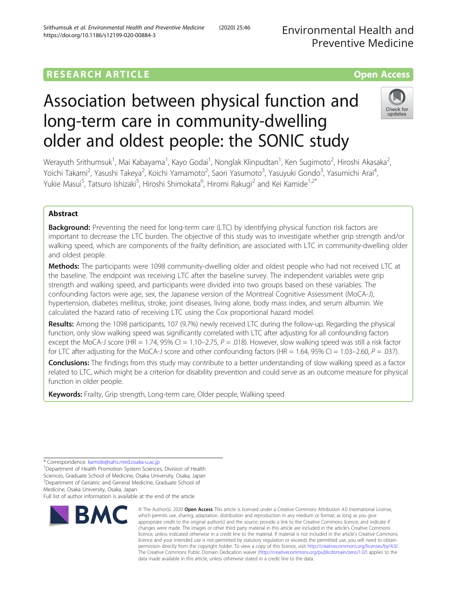Environmental Health and Preventive Medicine

# **RESEARCH ARTICLE Example 2014 12:30 The Contract of Contract ACCESS**

# Association between physical function and long-term care in community-dwelling older and oldest people: the SONIC study



Werayuth Srithumsuk<sup>1</sup>, Mai Kabayama<sup>1</sup>, Kayo Godai<sup>1</sup>, Nonglak Klinpudtan<sup>1</sup>, Ken Sugimoto<sup>2</sup>, Hiroshi Akasaka<sup>2</sup> , Yoichi Takami<sup>2</sup>, Yasushi Takeya<sup>2</sup>, Koichi Yamamoto<sup>2</sup>, Saori Yasumoto<sup>3</sup>, Yasuyuki Gondo<sup>3</sup>, Yasumichi Arai<sup>4</sup> , Yukie Masui<sup>5</sup>, Tatsuro Ishizaki<sup>5</sup>, Hiroshi Shimokata<sup>6</sup>, Hiromi Rakugi<sup>2</sup> and Kei Kamide<sup>1,2\*</sup>

# Abstract

**Background:** Preventing the need for long-term care (LTC) by identifying physical function risk factors are important to decrease the LTC burden. The objective of this study was to investigate whether grip strength and/or walking speed, which are components of the frailty definition, are associated with LTC in community-dwelling older and oldest people.

Methods: The participants were 1098 community-dwelling older and oldest people who had not received LTC at the baseline. The endpoint was receiving LTC after the baseline survey. The independent variables were grip strength and walking speed, and participants were divided into two groups based on these variables. The confounding factors were age, sex, the Japanese version of the Montreal Cognitive Assessment (MoCA-J), hypertension, diabetes mellitus, stroke, joint diseases, living alone, body mass index, and serum albumin. We calculated the hazard ratio of receiving LTC using the Cox proportional hazard model.

Results: Among the 1098 participants, 107 (9.7%) newly received LTC during the follow-up. Regarding the physical function, only slow walking speed was significantly correlated with LTC after adjusting for all confounding factors except the MoCA-J score (HR = 1.74, 95% CI = 1.10–2.75,  $P = .018$ ). However, slow walking speed was still a risk factor for LTC after adjusting for the MoCA-J score and other confounding factors (HR = 1.64, 95% CI = 1.03–2.60,  $P = .037$ ).

Conclusions: The findings from this study may contribute to a better understanding of slow walking speed as a factor related to LTC, which might be a criterion for disability prevention and could serve as an outcome measure for physical function in older people.

Keywords: Frailty, Grip strength, Long-term care, Older people, Walking speed

\* Correspondence: [kamide@sahs.med.osaka-u.ac.jp](mailto:kamide@sahs.med.osaka-u.ac.jp) <sup>1</sup>

<sup>1</sup>Department of Health Promotion System Sciences, Division of Health Sciences, Graduate School of Medicine, Osaka University, Osaka, Japan 2 Department of Geriatric and General Medicine, Graduate School of

Medicine, Osaka University, Osaka, Japan

Full list of author information is available at the end of the article



<sup>©</sup> The Author(s), 2020 **Open Access** This article is licensed under a Creative Commons Attribution 4.0 International License, which permits use, sharing, adaptation, distribution and reproduction in any medium or format, as long as you give appropriate credit to the original author(s) and the source, provide a link to the Creative Commons licence, and indicate if changes were made. The images or other third party material in this article are included in the article's Creative Commons licence, unless indicated otherwise in a credit line to the material. If material is not included in the article's Creative Commons licence and your intended use is not permitted by statutory regulation or exceeds the permitted use, you will need to obtain permission directly from the copyright holder. To view a copy of this licence, visit [http://creativecommons.org/licenses/by/4.0/.](http://creativecommons.org/licenses/by/4.0/) The Creative Commons Public Domain Dedication waiver [\(http://creativecommons.org/publicdomain/zero/1.0/](http://creativecommons.org/publicdomain/zero/1.0/)) applies to the data made available in this article, unless otherwise stated in a credit line to the data.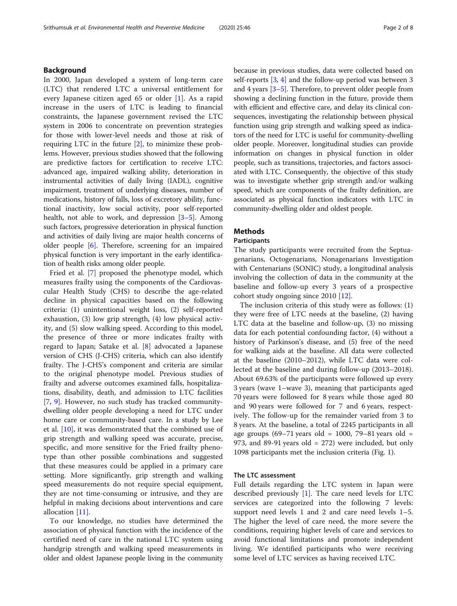# Background

In 2000, Japan developed a system of long-term care (LTC) that rendered LTC a universal entitlement for every Japanese citizen aged 65 or older [\[1](#page-7-0)]. As a rapid increase in the users of LTC is leading to financial constraints, the Japanese government revised the LTC system in 2006 to concentrate on prevention strategies for those with lower-level needs and those at risk of requiring LTC in the future [[2](#page-7-0)], to minimize these problems. However, previous studies showed that the following are predictive factors for certification to receive LTC: advanced age, impaired walking ability, deterioration in instrumental activities of daily living (IADL), cognitive impairment, treatment of underlying diseases, number of medications, history of falls, loss of excretory ability, functional inactivity, low social activity, poor self-reported health, not able to work, and depression  $[3-5]$  $[3-5]$  $[3-5]$ . Among such factors, progressive deterioration in physical function and activities of daily living are major health concerns of older people [\[6](#page-7-0)]. Therefore, screening for an impaired physical function is very important in the early identification of health risks among older people.

Fried et al. [\[7](#page-7-0)] proposed the phenotype model, which measures frailty using the components of the Cardiovascular Health Study (CHS) to describe the age-related decline in physical capacities based on the following criteria: (1) unintentional weight loss, (2) self-reported exhaustion, (3) low grip strength, (4) low physical activity, and (5) slow walking speed. According to this model, the presence of three or more indicates frailty with regard to Japan; Satake et al. [[8\]](#page-7-0) advocated a Japanese version of CHS (J-CHS) criteria, which can also identify frailty. The J-CHS's component and criteria are similar to the original phenotype model. Previous studies of frailty and adverse outcomes examined falls, hospitalizations, disability, death, and admission to LTC facilities [[7,](#page-7-0) [9\]](#page-7-0). However, no such study has tracked communitydwelling older people developing a need for LTC under home care or community-based care. In a study by Lee et al. [[10\]](#page-7-0), it was demonstrated that the combined use of grip strength and walking speed was accurate, precise, specific, and more sensitive for the Fried frailty phenotype than other possible combinations and suggested that these measures could be applied in a primary care setting. More significantly, grip strength and walking speed measurements do not require special equipment, they are not time-consuming or intrusive, and they are helpful in making decisions about interventions and care allocation [[11](#page-7-0)].

To our knowledge, no studies have determined the association of physical function with the incidence of the certified need of care in the national LTC system using handgrip strength and walking speed measurements in older and oldest Japanese people living in the community because in previous studies, data were collected based on self-reports [\[3,](#page-7-0) [4\]](#page-7-0) and the follow-up period was between 3 and 4 years [\[3](#page-7-0)–[5\]](#page-7-0). Therefore, to prevent older people from showing a declining function in the future, provide them with efficient and effective care, and delay its clinical consequences, investigating the relationship between physical function using grip strength and walking speed as indicators of the need for LTC is useful for community-dwelling older people. Moreover, longitudinal studies can provide information on changes in physical function in older people, such as transitions, trajectories, and factors associated with LTC. Consequently, the objective of this study was to investigate whether grip strength and/or walking speed, which are components of the frailty definition, are associated as physical function indicators with LTC in community-dwelling older and oldest people.

# **Methods**

# Participants

The study participants were recruited from the Septuagenarians, Octogenarians, Nonagenarians Investigation with Centenarians (SONIC) study, a longitudinal analysis involving the collection of data in the community at the baseline and follow-up every 3 years of a prospective cohort study ongoing since 2010 [\[12](#page-7-0)].

The inclusion criteria of this study were as follows: (1) they were free of LTC needs at the baseline, (2) having LTC data at the baseline and follow-up, (3) no missing data for each potential confounding factor, (4) without a history of Parkinson's disease, and (5) free of the need for walking aids at the baseline. All data were collected at the baseline (2010–2012), while LTC data were collected at the baseline and during follow-up (2013–2018). About 69.63% of the participants were followed up every 3 years (wave 1–wave 3), meaning that participants aged 70 years were followed for 8 years while those aged 80 and 90 years were followed for 7 and 6 years, respectively. The follow-up for the remainder varied from 3 to 8 years. At the baseline, a total of 2245 participants in all age groups  $(69-71 \text{ years}$  old = 1000, 79-81 years old = 973, and 89-91 years old =  $272$ ) were included, but only 1098 participants met the inclusion criteria (Fig. [1](#page-2-0)).

# The LTC assessment

Full details regarding the LTC system in Japan were described previously  $[1]$  $[1]$ . The care need levels for LTC services are categorized into the following 7 levels: support need levels 1 and 2 and care need levels 1–5. The higher the level of care need, the more severe the conditions, requiring higher levels of care and services to avoid functional limitations and promote independent living. We identified participants who were receiving some level of LTC services as having received LTC.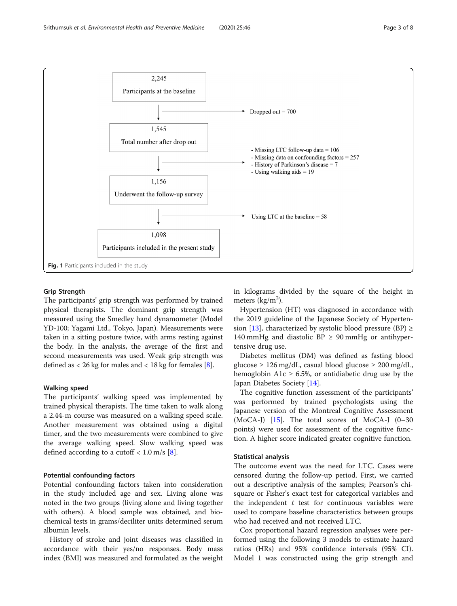<span id="page-2-0"></span>

# Grip Strength

The participants' grip strength was performed by trained physical therapists. The dominant grip strength was measured using the Smedley hand dynamometer (Model YD-100; Yagami Ltd., Tokyo, Japan). Measurements were taken in a sitting posture twice, with arms resting against the body. In the analysis, the average of the first and second measurements was used. Weak grip strength was defined as  $< 26$  kg for males and  $< 18$  kg for females [\[8\]](#page-7-0).

#### Walking speed

The participants' walking speed was implemented by trained physical therapists. The time taken to walk along a 2.44-m course was measured on a walking speed scale. Another measurement was obtained using a digital timer, and the two measurements were combined to give the average walking speed. Slow walking speed was defined according to a cutoff  $< 1.0$  m/s [[8](#page-7-0)].

# Potential confounding factors

Potential confounding factors taken into consideration in the study included age and sex. Living alone was noted in the two groups (living alone and living together with others). A blood sample was obtained, and biochemical tests in grams/deciliter units determined serum albumin levels.

History of stroke and joint diseases was classified in accordance with their yes/no responses. Body mass index (BMI) was measured and formulated as the weight in kilograms divided by the square of the height in meters  $(kg/m<sup>2</sup>)$ .

Hypertension (HT) was diagnosed in accordance with the 2019 guideline of the Japanese Society of Hyperten-sion [[13\]](#page-7-0), characterized by systolic blood pressure (BP)  $\ge$ 140 mmHg and diastolic BP  $\geq$  90 mmHg or antihypertensive drug use.

Diabetes mellitus (DM) was defined as fasting blood glucose ≥ 126 mg/dL, casual blood glucose ≥ 200 mg/dL, hemoglobin A1c  $\geq$  6.5%, or antidiabetic drug use by the Japan Diabetes Society [\[14](#page-7-0)].

The cognitive function assessment of the participants' was performed by trained psychologists using the Japanese version of the Montreal Cognitive Assessment  $(MoCA-I)$  [[15](#page-7-0)]. The total scores of MoCA-J  $(0-30)$ points) were used for assessment of the cognitive function. A higher score indicated greater cognitive function.

#### Statistical analysis

The outcome event was the need for LTC. Cases were censored during the follow-up period. First, we carried out a descriptive analysis of the samples; Pearson's chisquare or Fisher's exact test for categorical variables and the independent  $t$  test for continuous variables were used to compare baseline characteristics between groups who had received and not received LTC.

Cox proportional hazard regression analyses were performed using the following 3 models to estimate hazard ratios (HRs) and 95% confidence intervals (95% CI). Model 1 was constructed using the grip strength and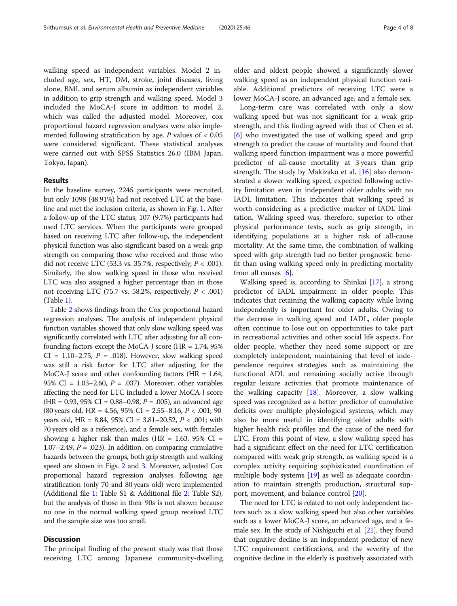walking speed as independent variables. Model 2 included age, sex, HT, DM, stroke, joint diseases, living alone, BMI, and serum albumin as independent variables in addition to grip strength and walking speed. Model 3 included the MoCA-J score in addition to model 2, which was called the adjusted model. Moreover, cox proportional hazard regression analyses were also implemented following stratification by age. P values of  $< 0.05$ were considered significant. These statistical analyses were carried out with SPSS Statistics 26.0 (IBM Japan, Tokyo, Japan).

# Results

In the baseline survey, 2245 participants were recruited, but only 1098 (48.91%) had not received LTC at the baseline and met the inclusion criteria, as shown in Fig. [1](#page-2-0). After a follow-up of the LTC status, 107 (9.7%) participants had used LTC services. When the participants were grouped based on receiving LTC after follow-up, the independent physical function was also significant based on a weak grip strength on comparing those who received and those who did not receive LTC (53.3 vs. 35.7%, respectively;  $P < .001$ ). Similarly, the slow walking speed in those who received LTC was also assigned a higher percentage than in those not receiving LTC (75.7 vs. 58.2%, respectively;  $P < .001$ ) (Table [1](#page-4-0)).

Table [2](#page-5-0) shows findings from the Cox proportional hazard regression analyses. The analysis of independent physical function variables showed that only slow walking speed was significantly correlated with LTC after adjusting for all confounding factors except the MoCA-J score (HR = 1.74, 95%  $CI = 1.10-2.75$ ,  $P = .018$ ). However, slow walking speed was still a risk factor for LTC after adjusting for the MoCA-J score and other confounding factors (HR = 1.64, 95% CI =  $1.03 - 2.60$ ,  $P = .037$ ). Moreover, other variables affecting the need for LTC included a lower MoCA-J score  $(HR = 0.93, 95\% \text{ CI} = 0.88 - 0.98, P = .005)$ , an advanced age (80 years old, HR = 4.56, 95% CI = 2.55–8.16,  $P < .001$ ; 90 years old, HR = 8.84, 95% CI = 3.81-20.52,  $P < .001$ ; with 70 years old as a reference), and a female sex, with females showing a higher risk than males (HR =  $1.63$ , 95% CI = 1.07–2.49,  $P = .023$ ). In addition, on comparing cumulative hazards between the groups, both grip strength and walking speed are shown in Figs. [2](#page-5-0) and [3](#page-6-0). Moreover, adjusted Cox proportional hazard regression analyses following age stratification (only 70 and 80 years old) were implemented (Additional file [1:](#page-6-0) Table S1 & Additional file [2:](#page-6-0) Table S2), but the analysis of those in their 90s is not shown because no one in the normal walking speed group received LTC and the sample size was too small.

# **Discussion**

The principal finding of the present study was that those receiving LTC among Japanese community-dwelling

older and oldest people showed a significantly slower walking speed as an independent physical function variable. Additional predictors of receiving LTC were a lower MoCA-J score, an advanced age, and a female sex.

Long-term care was correlated with only a slow walking speed but was not significant for a weak grip strength, and this finding agreed with that of Chen et al. [[6\]](#page-7-0) who investigated the use of walking speed and grip strength to predict the cause of mortality and found that walking speed function impairment was a more powerful predictor of all-cause mortality at 3 years than grip strength. The study by Makizako et al. [\[16\]](#page-7-0) also demonstrated a slower walking speed, expected following activity limitation even in independent older adults with no IADL limitation. This indicates that walking speed is worth considering as a predictive marker of IADL limitation. Walking speed was, therefore, superior to other physical performance tests, such as grip strength, in identifying populations at a higher risk of all-cause mortality. At the same time, the combination of walking speed with grip strength had no better prognostic benefit than using walking speed only in predicting mortality from all causes [\[6](#page-7-0)].

Walking speed is, according to Shinkai [[17\]](#page-7-0), a strong predictor of IADL impairment in older people. This indicates that retaining the walking capacity while living independently is important for older adults. Owing to the decrease in walking speed and IADL, older people often continue to lose out on opportunities to take part in recreational activities and other social life aspects. For older people, whether they need some support or are completely independent, maintaining that level of independence requires strategies such as maintaining the functional ADL and remaining socially active through regular leisure activities that promote maintenance of the walking capacity [\[18\]](#page-7-0). Moreover, a slow walking speed was recognized as a better predictor of cumulative deficits over multiple physiological systems, which may also be more useful in identifying older adults with higher health risk profiles and the cause of the need for LTC. From this point of view, a slow walking speed has had a significant effect on the need for LTC certification compared with weak grip strength, as walking speed is a complex activity requiring sophisticated coordination of multiple body systems [[19\]](#page-7-0) as well as adequate coordination to maintain strength production, structural support, movement, and balance control [[20](#page-7-0)].

The need for LTC is related to not only independent factors such as a slow walking speed but also other variables such as a lower MoCA-J score, an advanced age, and a female sex. In the study of Nishiguchi et al. [[21](#page-7-0)], they found that cognitive decline is an independent predictor of new LTC requirement certifications, and the severity of the cognitive decline in the elderly is positively associated with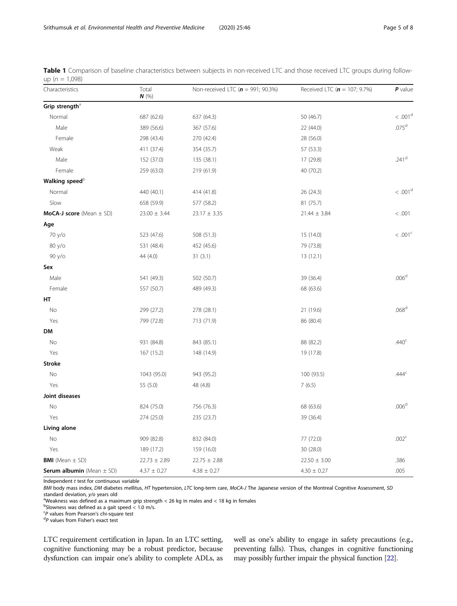<span id="page-4-0"></span>Srithumsuk et al. Environmental Health and Preventive Medicine (2020) 25:46 Page 5 of 8

| Characteristics                      | Total<br>$\pmb{N}$ (%) | Non-received LTC ( $n = 991$ ; 90.3%) | Received LTC ( $n = 107; 9.7\%)$ | $P$ value           |
|--------------------------------------|------------------------|---------------------------------------|----------------------------------|---------------------|
| Grip strength <sup>a</sup>           |                        |                                       |                                  |                     |
| Normal                               | 687 (62.6)             | 637 (64.3)                            | 50 (46.7)                        | $< .001^{\rm d}$    |
| Male                                 | 389 (56.6)             | 367 (57.6)                            | 22 (44.0)                        | .075 <sup>d</sup>   |
| Female                               | 298 (43.4)             | 270 (42.4)                            | 28 (56.0)                        |                     |
| Weak                                 | 411 (37.4)             | 354 (35.7)                            | 57 (53.3)                        |                     |
| Male                                 | 152 (37.0)             | 135 (38.1)                            | 17 (29.8)                        | .241 <sup>d</sup>   |
| Female                               | 259 (63.0)             | 219 (61.9)                            | 40 (70.2)                        |                     |
| Walking speed <sup>b</sup>           |                        |                                       |                                  |                     |
| Normal                               | 440 (40.1)             | 414 (41.8)                            | 26 (24.3)                        | $< .001^\mathrm{d}$ |
| Slow                                 | 658 (59.9)             | 577 (58.2)                            | 81 (75.7)                        |                     |
| $MoCA-J score (Mean \pm SD)$         | $23.00 \pm 3.44$       | $23.17 \pm 3.35$                      | $21.44 \pm 3.84$                 | < .001              |
| Age                                  |                        |                                       |                                  |                     |
| 70 y/o                               | 523 (47.6)             | 508 (51.3)                            | 15 (14.0)                        | $< .001^{\circ}$    |
| 80 y/o                               | 531 (48.4)             | 452 (45.6)                            | 79 (73.8)                        |                     |
| 90 y/o                               | 44 (4.0)               | 31(3.1)                               | 13(12.1)                         |                     |
| Sex                                  |                        |                                       |                                  |                     |
| Male                                 | 541 (49.3)             | 502 (50.7)                            | 39 (36.4)                        | .006 <sup>d</sup>   |
| Female                               | 557 (50.7)             | 489 (49.3)                            | 68 (63.6)                        |                     |
| HT                                   |                        |                                       |                                  |                     |
| No                                   | 299 (27.2)             | 278 (28.1)                            | 21 (19.6)                        | .068 <sup>d</sup>   |
| Yes                                  | 799 (72.8)             | 713 (71.9)                            | 86 (80.4)                        |                     |
| DM                                   |                        |                                       |                                  |                     |
| $\rm No$                             | 931 (84.8)             | 843 (85.1)                            | 88 (82.2)                        | .440 <sup>c</sup>   |
| Yes                                  | 167 (15.2)             | 148 (14.9)                            | 19 (17.8)                        |                     |
| <b>Stroke</b>                        |                        |                                       |                                  |                     |
| No                                   | 1043 (95.0)            | 943 (95.2)                            | 100 (93.5)                       | .444 <sup>c</sup>   |
| Yes                                  | 55 (5.0)               | 48 (4.8)                              | 7(6.5)                           |                     |
| Joint diseases                       |                        |                                       |                                  |                     |
| $\rm No$                             | 824 (75.0)             | 756 (76.3)                            | 68 (63.6)                        | .006 <sup>d</sup>   |
| Yes                                  | 274 (25.0)             | 235 (23.7)                            | 39 (36.4)                        |                     |
| Living alone                         |                        |                                       |                                  |                     |
| No                                   | 909 (82.8)             | 832 (84.0)                            | 77 (72.0)                        | .002 <sup>c</sup>   |
| Yes                                  | 189 (17.2)             | 159 (16.0)                            | 30 (28.0)                        |                     |
| <b>BMI</b> (Mean $\pm$ SD)           | $22.73 \pm 2.89$       | $22.75 \pm 2.88$                      | $22.50 \pm 3.00$                 | .386                |
| <b>Serum albumin</b> (Mean $\pm$ SD) | $4.37 \pm 0.27$        | $4.38 \pm 0.27$                       | $4.30 \pm 0.27$                  | .005                |

Table 1 Comparison of baseline characteristics between subjects in non-received LTC and those received LTC groups during followup ( $n = 1,098$ )

Independent t test for continuous variable

BMI body mass index, DM diabetes mellitus, HT hypertension, LTC long-term care, MoCA-J The Japanese version of the Montreal Cognitive Assessment, SD standard deviation, y/o years old

Weakness was defined as a maximum grip strength < 26 kg in males and < 18 kg in females

<sup>b</sup>Slowness was defined as a gait speed < 1.0 m/s.

 ${}^{c}P$  values from Pearson's chi-square test<br> ${}^{d}P$  values from Fisher's exact test

 ${}^{d}P$  values from Fisher's exact test

LTC requirement certification in Japan. In an LTC setting, cognitive functioning may be a robust predictor, because dysfunction can impair one's ability to complete ADLs, as well as one's ability to engage in safety precautions (e.g., preventing falls). Thus, changes in cognitive functioning may possibly further impair the physical function [\[22\]](#page-7-0).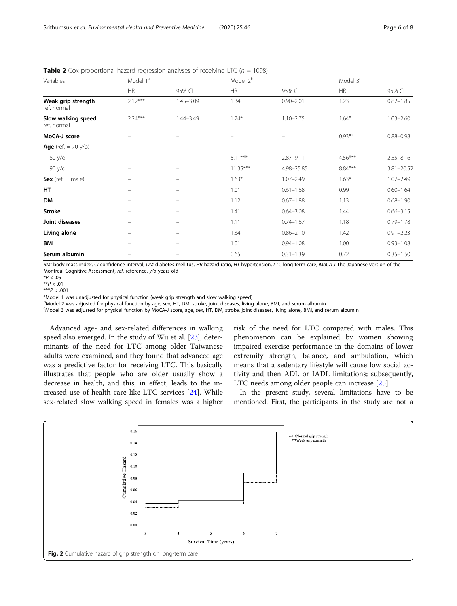<span id="page-5-0"></span>

| <b>Table 2</b> Cox proportional hazard regression analyses of receiving LTC ( $n = 1098$ ) |  |  |  |  |
|--------------------------------------------------------------------------------------------|--|--|--|--|
|--------------------------------------------------------------------------------------------|--|--|--|--|

| Variables                         | Model 1 <sup>a</sup> |               |            | Model 2 <sup>b</sup> |           | Model 3 <sup>c</sup> |  |
|-----------------------------------|----------------------|---------------|------------|----------------------|-----------|----------------------|--|
|                                   | <b>HR</b>            | 95% CI        | <b>HR</b>  | 95% CI               | <b>HR</b> | 95% CI               |  |
| Weak grip strength<br>ref. normal | $2.12***$            | $1.45 - 3.09$ | 1.34       | $0.90 - 2.01$        | 1.23      | $0.82 - 1.85$        |  |
| Slow walking speed<br>ref. normal | $2.24***$            | 1.44-3.49     | $1.74*$    | $1.10 - 2.75$        | $1.64*$   | $1.03 - 2.60$        |  |
| MoCA-J score                      |                      |               |            |                      | $0.93***$ | $0.88 - 0.98$        |  |
| <b>Age</b> (ref. = 70 $y$ /o)     |                      |               |            |                      |           |                      |  |
| 80 y/o                            |                      |               | $5.11***$  | $2.87 - 9.11$        | $4.56***$ | $2.55 - 8.16$        |  |
| 90 y/o                            |                      |               | $11.35***$ | 4.98-25.85           | 8.84***   | $3.81 - 20.52$       |  |
| <b>Sex</b> (ref. = male)          | -                    | -             | $1.63*$    | $1.07 - 2.49$        | $1.63*$   | $1.07 - 2.49$        |  |
| <b>HT</b>                         | -                    | -             | 1.01       | $0.61 - 1.68$        | 0.99      | $0.60 - 1.64$        |  |
| DM                                |                      |               | 1.12       | $0.67 - 1.88$        | 1.13      | $0.68 - 1.90$        |  |
| <b>Stroke</b>                     |                      |               | 1.41       | $0.64 - 3.08$        | 1.44      | $0.66 - 3.15$        |  |
| Joint diseases                    |                      | -             | 1.11       | $0.74 - 1.67$        | 1.18      | $0.79 - 1.78$        |  |
| Living alone                      |                      |               | 1.34       | $0.86 - 2.10$        | 1.42      | $0.91 - 2.23$        |  |
| BMI                               |                      |               | 1.01       | $0.94 - 1.08$        | 1.00      | $0.93 - 1.08$        |  |
| Serum albumin                     |                      |               | 0.65       | $0.31 - 1.39$        | 0.72      | $0.35 - 1.50$        |  |

BMI body mass index, CI confidence interval, DM diabetes mellitus, HR hazard ratio, HT hypertension, LTC long-term care, MoCA-J The Japanese version of the Montreal Cognitive Assessment, ref. reference, y/o years old

 $*P < .05$ 

 $* p < .01$ 

 $***P < .001$ 

<sup>a</sup>Model 1 was unadjusted for physical function (weak grip strength and slow walking speed)

b<br>Model 2 was adjusted for physical function by age, sex, HT, DM, stroke, joint diseases, living alone, BMI, and serum albumin

c Model 3 was adjusted for physical function by MoCA-J score, age, sex, HT, DM, stroke, joint diseases, living alone, BMI, and serum albumin

Advanced age- and sex-related differences in walking speed also emerged. In the study of Wu et al. [\[23\]](#page-7-0), determinants of the need for LTC among older Taiwanese adults were examined, and they found that advanced age was a predictive factor for receiving LTC. This basically illustrates that people who are older usually show a decrease in health, and this, in effect, leads to the increased use of health care like LTC services [\[24\]](#page-7-0). While sex-related slow walking speed in females was a higher risk of the need for LTC compared with males. This phenomenon can be explained by women showing impaired exercise performance in the domains of lower extremity strength, balance, and ambulation, which means that a sedentary lifestyle will cause low social activity and then ADL or IADL limitations; subsequently, LTC needs among older people can increase [\[25](#page-7-0)].

In the present study, several limitations have to be mentioned. First, the participants in the study are not a

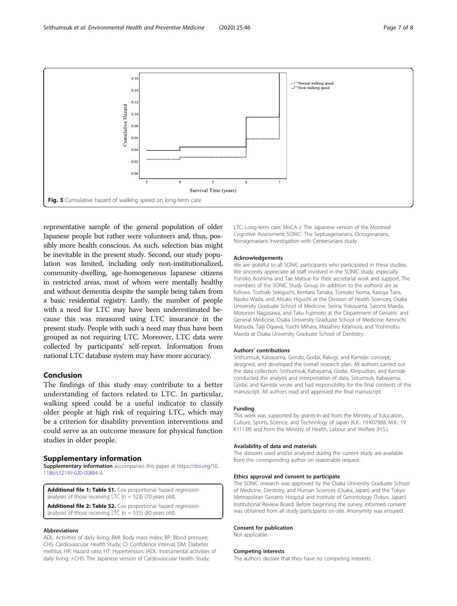<span id="page-6-0"></span>

representative sample of the general population of older Japanese people but rather were volunteers and, thus, possibly more health conscious. As such, selection bias might be inevitable in the present study. Second, our study population was limited, including only non-institutionalized, community-dwelling, age-homogeneous Japanese citizens in restricted areas, most of whom were mentally healthy and without dementia despite the sample being taken from a basic residential registry. Lastly, the number of people with a need for LTC may have been underestimated because this was measured using LTC insurance in the present study. People with such a need may thus have been grouped as not requiring LTC. Moreover, LTC data were collected by participants' self-report. Information from national LTC database system may have more accuracy.

# Conclusion

The findings of this study may contribute to a better understanding of factors related to LTC. In particular, walking speed could be a useful indicator to classify older people at high risk of requiring LTC, which may be a criterion for disability prevention interventions and could serve as an outcome measure for physical function studies in older people.

# Supplementary information

Supplementary information accompanies this paper at [https://doi.org/10.](https://doi.org/10.1186/s12199-020-00884-3) [1186/s12199-020-00884-3](https://doi.org/10.1186/s12199-020-00884-3).

Additional file 1: Table S1. Cox proportional hazard regression analyses of those receiving LTC (n = 523) (70 years old).

Additional file 2: Table S2. Cox proportional hazard regression analyses of those receiving LTC ( $n = 531$ ) (80 years old).

#### Abbreviations

ADL: Activities of daily living; BMI: Body mass index; BP: Blood pressure; CHS: Cardiovascular Health Study; CI: Confidence interval; DM: Diabetes mellitus; HR: Hazard ratio; HT: Hypertension; IADL: Instrumental activities of daily living; J-CHS: The Japanese version of Cardiovascular Health Study;

LTC: Long-term care; MoCA-J: The Japanese version of the Montreal Cognitive Assessment; SONIC: The Septuagenarians, Octogenarians, Nonagenarians Investigation with Centenarians study

#### Acknowledgements

We are grateful to all SONIC participants who participated in these studies. We sincerely appreciate all staff involved in the SONIC study, especially Yumiko Aoshima and Tae Matsue for their secretarial work and support. The members of the SONIC Study Group (in addition to the authors) are as follows: Toshiaki Sekiguchi, Kentaro Tanaka, Tomoko Noma, Kazuya Taira, Naoko Wada, and Atsuko Higuchi at the Division of Health Sciences, Osaka University Graduate School of Medicine; Serina Yokoyama, Satomi Maeda, Motonori Nagasawa, and Taku Fujimoto at the Department of Geriatric and General Medicine, Osaka University Graduate School of Medicine; Kennichi Matsuda, Taiji Ogawa, Yuichi Mihara, Masahiro Kitamura, and Yoshinobu Maeda at Osaka University Graduate School of Dentistry.

#### Authors' contributions

Srithumsuk, Kabayama, Gondo, Godai, Rakugi, and Kamide: concept, designed, and developed the overall research plan. All authors carried out the data collection. Srithumsuk, Kabayama, Godai, Klinpudtan, and Kamide conducted the analysis and interpretation of data. Sritumsuk, Kabayama, Godai, and Kamide wrote and had responsibility for the final contents of the manuscript. All authors read and approved the final manuscript.

#### Funding

This work was supported by grants-in-aid from the Ministry of Education, Culture, Sports, Science, and Technology of Japan (K.K.: 19 K07888, M.K.: 19 K11138) and from the Ministry of Health, Labour and Welfare (H.S.).

#### Availability of data and materials

The datasets used and/or analyzed during the current study are available from the corresponding author on reasonable request.

#### Ethics approval and consent to participate

The SONIC research was approved by the Osaka University Graduate School of Medicine, Dentistry, and Human Sciences (Osaka, Japan) and the Tokyo Metropolitan Geriatric Hospital and Institute of Gerontology (Tokyo, Japan) Institutional Review Board. Before beginning the survey, informed consent was obtained from all study participants on-site. Anonymity was ensured.

#### Consent for publication

Not applicable.

#### Competing interests

The authors declare that they have no competing interests.